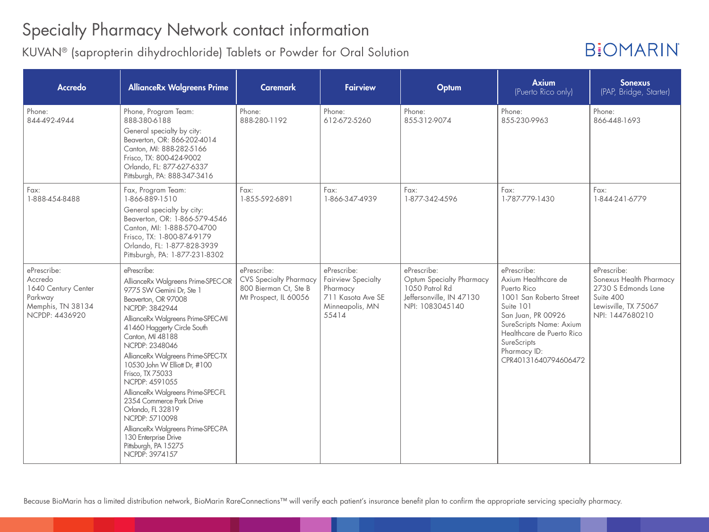### Specialty Pharmacy Network contact information

KUVAN® (sapropterin dihydrochloride) Tablets or Powder for Oral Solution

## **B:OMARIN**

| <b>Accredo</b>                                                                                  | <b>AllianceRx Walgreens Prime</b>                                                                                                                                                                                                                                                                                                                                                                                                                                                                                                                               | <b>Caremark</b>                                                                                | <b>Fairview</b>                                                                                       | Optum                                                                                                    | <b>Axium</b><br>(Puerto Rico only)                                                                                                                                                                                             | <b>Sonexus</b><br>(PAP, Bridge, Starter)                                                                              |
|-------------------------------------------------------------------------------------------------|-----------------------------------------------------------------------------------------------------------------------------------------------------------------------------------------------------------------------------------------------------------------------------------------------------------------------------------------------------------------------------------------------------------------------------------------------------------------------------------------------------------------------------------------------------------------|------------------------------------------------------------------------------------------------|-------------------------------------------------------------------------------------------------------|----------------------------------------------------------------------------------------------------------|--------------------------------------------------------------------------------------------------------------------------------------------------------------------------------------------------------------------------------|-----------------------------------------------------------------------------------------------------------------------|
| Phone:<br>844-492-4944                                                                          | Phone, Program Team:<br>888-380-6188<br>General specialty by city:<br>Beaverton, OR: 866-202-4014<br>Canton, MI: 888-282-5166<br>Frisco, TX: 800-424-9002<br>Orlando, FL: 877-627-6337<br>Pittsburgh, PA: 888-347-3416                                                                                                                                                                                                                                                                                                                                          | Phone:<br>888-280-1192                                                                         | Phone:<br>612-672-5260                                                                                | Phone:<br>855-312-9074                                                                                   | Phone:<br>855-230-9963                                                                                                                                                                                                         | Phone:<br>866-448-1693                                                                                                |
| Fax:<br>1-888-454-8488                                                                          | Fax, Program Team:<br>1-866-889-1510<br>General specialty by city:<br>Beaverton, OR: 1-866-579-4546<br>Canton, MI: 1-888-570-4700<br>Frisco, TX: 1-800-874-9179<br>Orlando, FL: 1-877-828-3939<br>Pittsburgh, PA: 1-877-231-8302                                                                                                                                                                                                                                                                                                                                | Fax:<br>1-855-592-6891                                                                         | Fax:<br>1-866-347-4939                                                                                | Fax:<br>1-877-342-4596                                                                                   | Fax:<br>1-787-779-1430                                                                                                                                                                                                         | Fax:<br>1-844-241-6779                                                                                                |
| ePrescribe:<br>Accredo<br>1640 Century Center<br>Parkway<br>Memphis, TN 38134<br>NCPDP: 4436920 | ePrescribe:<br>AllianceRx Walgreens Prime-SPEC-OR<br>9775 SW Gemini Dr, Ste 1<br>Beaverton, OR 97008<br>NCPDP: 3842944<br>AllianceRx Walgreens Prime-SPEC-MI<br>41460 Haggerty Circle South<br>Canton, MI 48188<br>NCPDP: 2348046<br>AllianceRx Walgreens Prime-SPEC-TX<br>10530 John W Elliott Dr, #100<br>Frisco, TX 75033<br>NCPDP: 4591055<br>AllianceRx Walgreens Prime-SPEC-FL<br>2354 Commerce Park Drive<br>Orlando, FL 32819<br>NCPDP: 5710098<br>AllianceRx Walgreens Prime-SPEC-PA<br>130 Enterprise Drive<br>Pittsburgh, PA 15275<br>NCPDP: 3974157 | ePrescribe:<br><b>CVS Specialty Pharmacy</b><br>800 Bierman Ct, Ste B<br>Mt Prospect, IL 60056 | ePrescribe:<br><b>Fairview Specialty</b><br>Pharmacy<br>711 Kasota Ave SE<br>Minneapolis, MN<br>55414 | ePrescribe:<br>Optum Specialty Pharmacy<br>1050 Patrol Rd<br>Jeffersonville, IN 47130<br>NPI: 1083045140 | ePrescribe:<br>Axium Healthcare de<br>Puerto Rico<br>1001 San Roberto Street<br>Suite 101<br>San Juan, PR 00926<br>SureScripts Name: Axium<br>Healthcare de Puerto Rico<br>SureScripts<br>Pharmacy ID:<br>CPR40131640794606472 | ePrescribe:<br>Sonexus Health Pharmacy<br>2730 S Edmonds Lane<br>Suite 400<br>Lewisville, TX 75067<br>NPI: 1447680210 |

Because BioMarin has a limited distribution network, BioMarin RareConnections™ will verify each patient's insurance benefit plan to confirm the appropriate servicing specialty pharmacy.